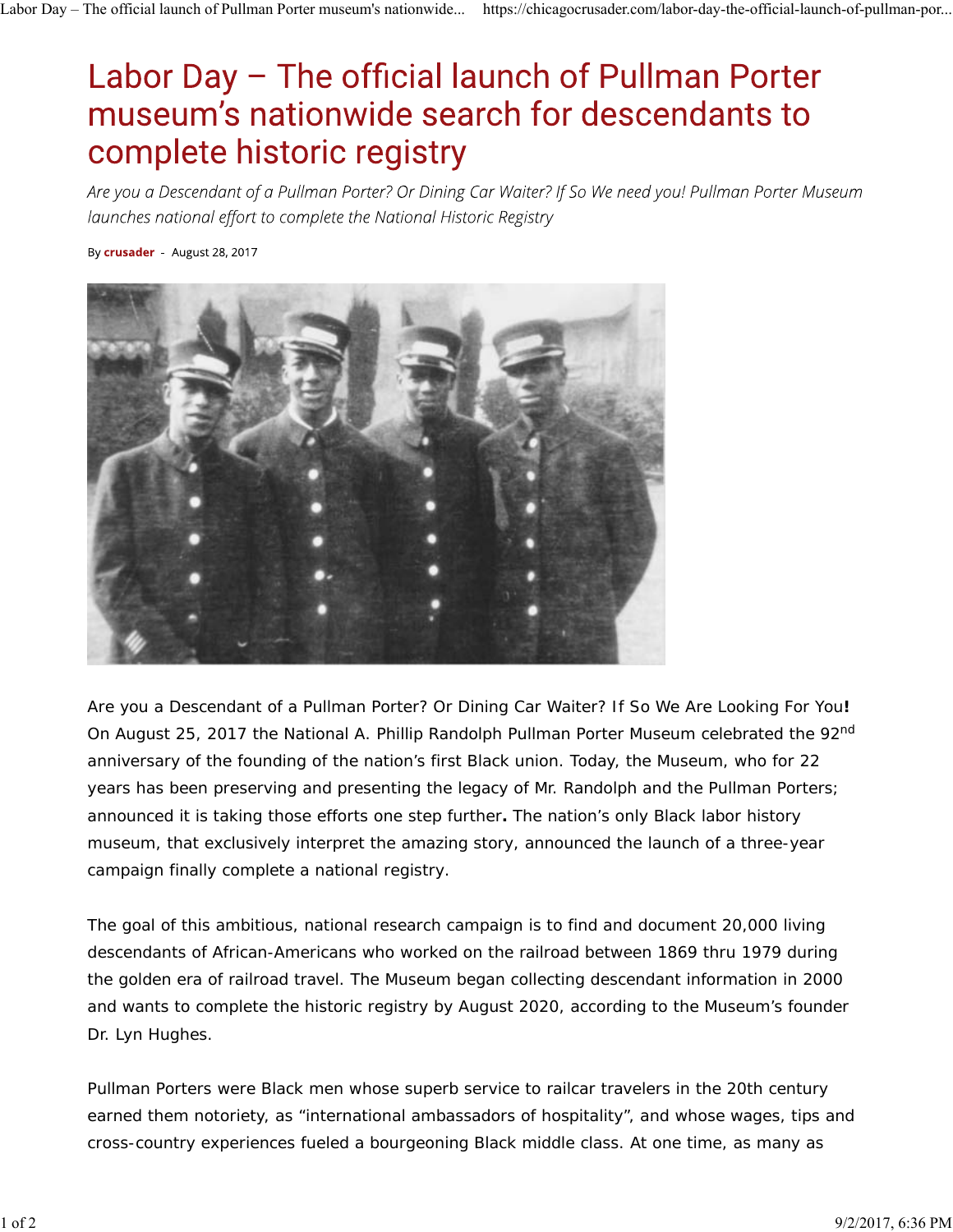## Labor Day - The official launch of Pullman Porter museum's nationwide search for descendants to complete historic registry

Are you a Descendant of a Pullman Porter? Or Dining Car Waiter? If So We need you! Pullman Porter Museum launches national effort to complete the National Historic Registry

By crusader August 28, 2017



Are you a Descendant of a Pullman Porter? Or Dining Car Waiter? If So We Are Looking For You**!**  On August 25, 2017 the National A. Phillip Randolph Pullman Porter Museum celebrated the 92<sup>nd</sup> anniversary of the founding of the nation's first Black union. Today, the Museum, who for 22 years has been preserving and presenting the legacy of Mr. Randolph and the Pullman Porters; announced it is taking those efforts one step further**.** *The nation's only Black labor history museum, that exclusively interpret the amazing story, announced the launch of a three-year campaign finally complete a national registry.*

The goal of this ambitious, national research campaign is to find and document 20,000 living descendants of African-Americans who worked on the railroad between 1869 thru 1979 during the golden era of railroad travel. The Museum began collecting descendant information in 2000 and wants to complete the historic registry by August 2020, according to the Museum's founder Dr. Lyn Hughes.

Pullman Porters were Black men whose superb service to railcar travelers in the 20th century earned them notoriety, as "international ambassadors of hospitality", and whose wages, tips and cross-country experiences fueled a bourgeoning Black middle class. At one time, as many as